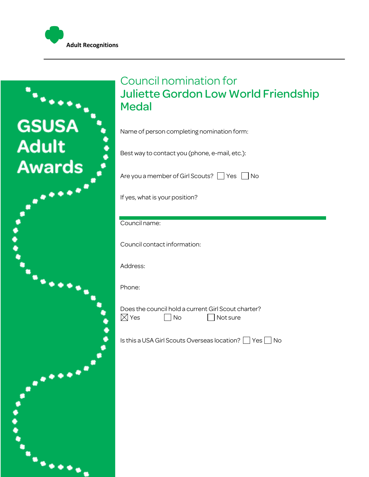



## Council nomination for Juliette Gordon Low World Friendship **Medal**

Name of person completing nomination form:

Best way to contact you (phone, e-mail, etc.):

Are you a member of Girl Scouts?  $\Box$  Yes  $\Box$  No

If yes, what is your position?

Council name:

Council contact information:

Address:

Phone:

Does the council hold a current Girl Scout charter?  $\boxtimes$  Yes  $\Box$  No  $\Box$  Not sure

Is this a USA Girl Scouts Overseas location?  $\Box$  Yes  $\Box$  No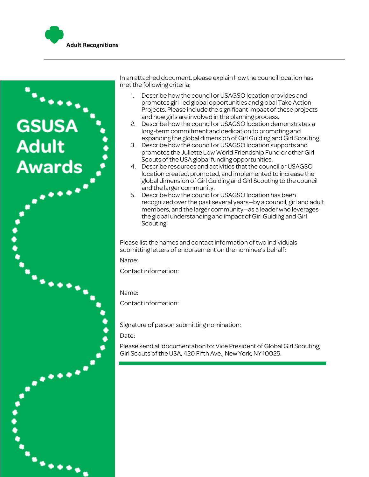



In an attached document, please explain how the council location has met the following criteria:

- 1. Describe how the council or USAGSO location provides and promotes girl-led global opportunities and global Take Action Projects. Please include the significant impact of these projects and how girls are involved in the planning process.
- 2. Describe how the council or USAGSO location demonstrates a long-term commitment and dedication to promoting and expanding the global dimension of Girl Guiding and Girl Scouting.
- 3. Describe how the council or USAGSO location supports and promotes the Juliette Low World Friendship Fund or other Girl Scouts of the USA global funding opportunities.
- 4. Describe resources and activities that the council or USAGSO location created, promoted, and implemented to increase the global dimension of Girl Guiding and Girl Scouting to the council and the larger community.
- 5. Describe how the council or USAGSO location has been recognized over the past several years—by a council, girl and adult members, and the larger community—as a leader who leverages the global understanding and impact of Girl Guiding and Girl Scouting.

Please list the names and contact information of two individuals submitting letters of endorsement on the nominee's behalf:

Name:

Contact information:

Name:

Contact information:

Signature of person submitting nomination:

Date:

Please send all documentation to: Vice President of Global Girl Scouting, Girl Scouts of the USA, 420 Fifth Ave., New York, NY 10025.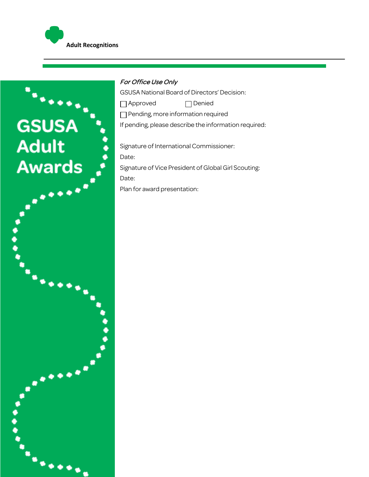

c

## For Office Use Only

GSUSA National Board of Directors' Decision:

□ Approved □ Denied

Pending, more information required

If pending, please describe the information required:

Signature of International Commissioner: Date: Signature of Vice President of Global Girl Scouting: Date: Plan for award presentation: